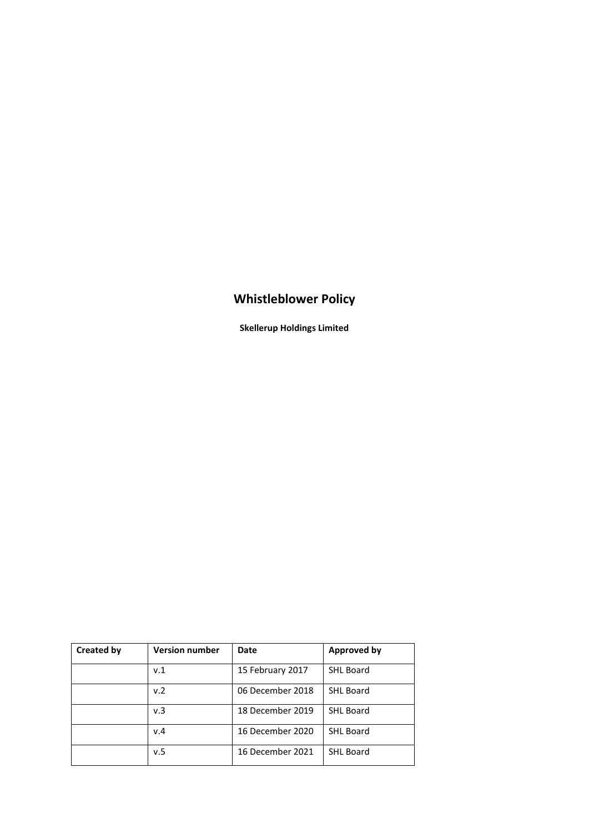# **Whistleblower Policy**

**Skellerup Holdings Limited**

| <b>Created by</b> | <b>Version number</b> | Date             | <b>Approved by</b> |
|-------------------|-----------------------|------------------|--------------------|
|                   | v.1                   | 15 February 2017 | <b>SHL Board</b>   |
|                   | v.2                   | 06 December 2018 | <b>SHL Board</b>   |
|                   | v.3                   | 18 December 2019 | <b>SHL Board</b>   |
|                   | v.4                   | 16 December 2020 | <b>SHL Board</b>   |
|                   | v.5                   | 16 December 2021 | <b>SHL Board</b>   |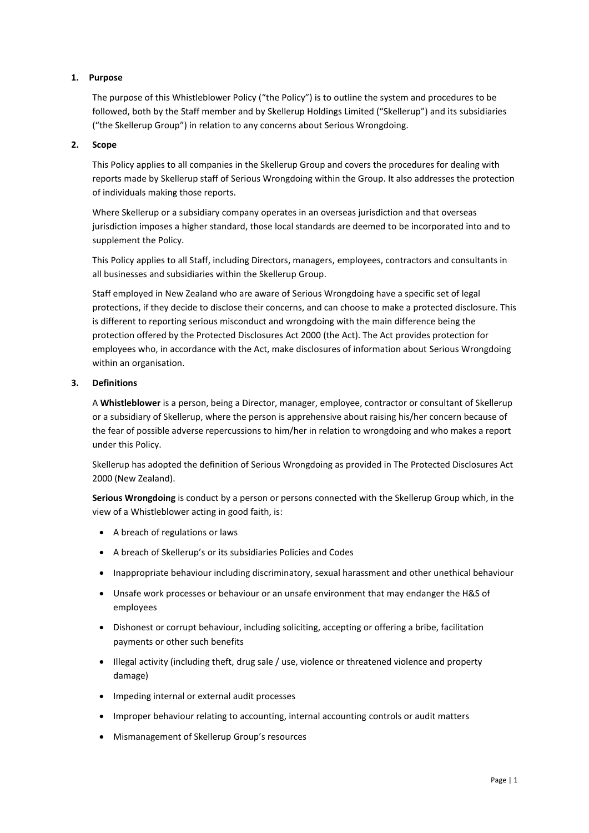# **1. Purpose**

The purpose of this Whistleblower Policy ("the Policy") is to outline the system and procedures to be followed, both by the Staff member and by Skellerup Holdings Limited ("Skellerup") and its subsidiaries ("the Skellerup Group") in relation to any concerns about Serious Wrongdoing.

## **2. Scope**

This Policy applies to all companies in the Skellerup Group and covers the procedures for dealing with reports made by Skellerup staff of Serious Wrongdoing within the Group. It also addresses the protection of individuals making those reports.

Where Skellerup or a subsidiary company operates in an overseas jurisdiction and that overseas jurisdiction imposes a higher standard, those local standards are deemed to be incorporated into and to supplement the Policy.

This Policy applies to all Staff, including Directors, managers, employees, contractors and consultants in all businesses and subsidiaries within the Skellerup Group.

Staff employed in New Zealand who are aware of Serious Wrongdoing have a specific set of legal protections, if they decide to disclose their concerns, and can choose to make a protected disclosure. This is different to reporting serious misconduct and wrongdoing with the main difference being the protection offered by the Protected Disclosures Act 2000 (the Act). The Act provides protection for employees who, in accordance with the Act, make disclosures of information about Serious Wrongdoing within an organisation.

## **3. Definitions**

A **Whistleblower** is a person, being a Director, manager, employee, contractor or consultant of Skellerup or a subsidiary of Skellerup, where the person is apprehensive about raising his/her concern because of the fear of possible adverse repercussions to him/her in relation to wrongdoing and who makes a report under this Policy.

Skellerup has adopted the definition of Serious Wrongdoing as provided in The Protected Disclosures Act 2000 (New Zealand).

**Serious Wrongdoing** is conduct by a person or persons connected with the Skellerup Group which, in the view of a Whistleblower acting in good faith, is:

- A breach of regulations or laws
- A breach of Skellerup's or its subsidiaries Policies and Codes
- Inappropriate behaviour including discriminatory, sexual harassment and other unethical behaviour
- Unsafe work processes or behaviour or an unsafe environment that may endanger the H&S of employees
- Dishonest or corrupt behaviour, including soliciting, accepting or offering a bribe, facilitation payments or other such benefits
- Illegal activity (including theft, drug sale / use, violence or threatened violence and property damage)
- Impeding internal or external audit processes
- Improper behaviour relating to accounting, internal accounting controls or audit matters
- Mismanagement of Skellerup Group's resources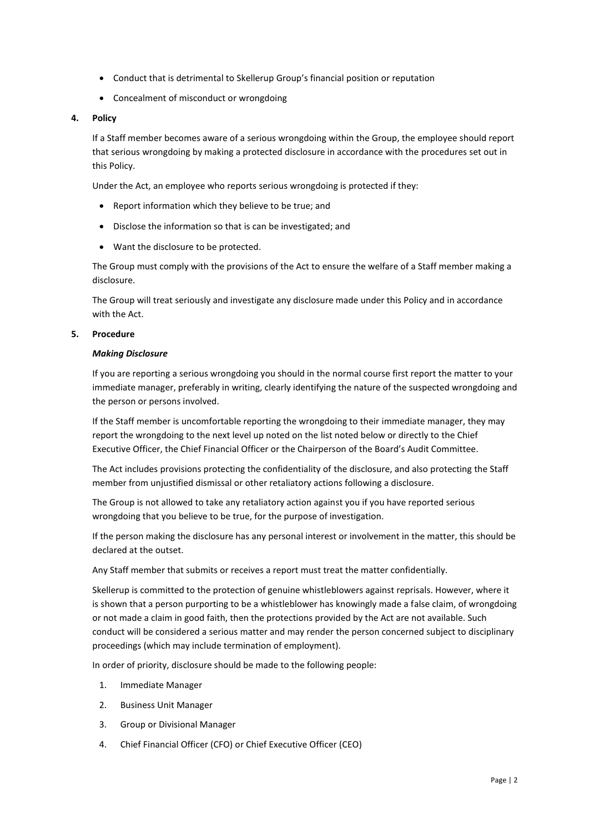- Conduct that is detrimental to Skellerup Group's financial position or reputation
- Concealment of misconduct or wrongdoing

## **4. Policy**

If a Staff member becomes aware of a serious wrongdoing within the Group, the employee should report that serious wrongdoing by making a protected disclosure in accordance with the procedures set out in this Policy.

Under the Act, an employee who reports serious wrongdoing is protected if they:

- Report information which they believe to be true; and
- Disclose the information so that is can be investigated; and
- Want the disclosure to be protected.

The Group must comply with the provisions of the Act to ensure the welfare of a Staff member making a disclosure.

The Group will treat seriously and investigate any disclosure made under this Policy and in accordance with the Act.

#### **5. Procedure**

#### *Making Disclosure*

If you are reporting a serious wrongdoing you should in the normal course first report the matter to your immediate manager, preferably in writing, clearly identifying the nature of the suspected wrongdoing and the person or persons involved.

If the Staff member is uncomfortable reporting the wrongdoing to their immediate manager, they may report the wrongdoing to the next level up noted on the list noted below or directly to the Chief Executive Officer, the Chief Financial Officer or the Chairperson of the Board's Audit Committee.

The Act includes provisions protecting the confidentiality of the disclosure, and also protecting the Staff member from unjustified dismissal or other retaliatory actions following a disclosure.

The Group is not allowed to take any retaliatory action against you if you have reported serious wrongdoing that you believe to be true, for the purpose of investigation.

If the person making the disclosure has any personal interest or involvement in the matter, this should be declared at the outset.

Any Staff member that submits or receives a report must treat the matter confidentially.

Skellerup is committed to the protection of genuine whistleblowers against reprisals. However, where it is shown that a person purporting to be a whistleblower has knowingly made a false claim, of wrongdoing or not made a claim in good faith, then the protections provided by the Act are not available. Such conduct will be considered a serious matter and may render the person concerned subject to disciplinary proceedings (which may include termination of employment).

In order of priority, disclosure should be made to the following people:

- 1. Immediate Manager
- 2. Business Unit Manager
- 3. Group or Divisional Manager
- 4. Chief Financial Officer (CFO) or Chief Executive Officer (CEO)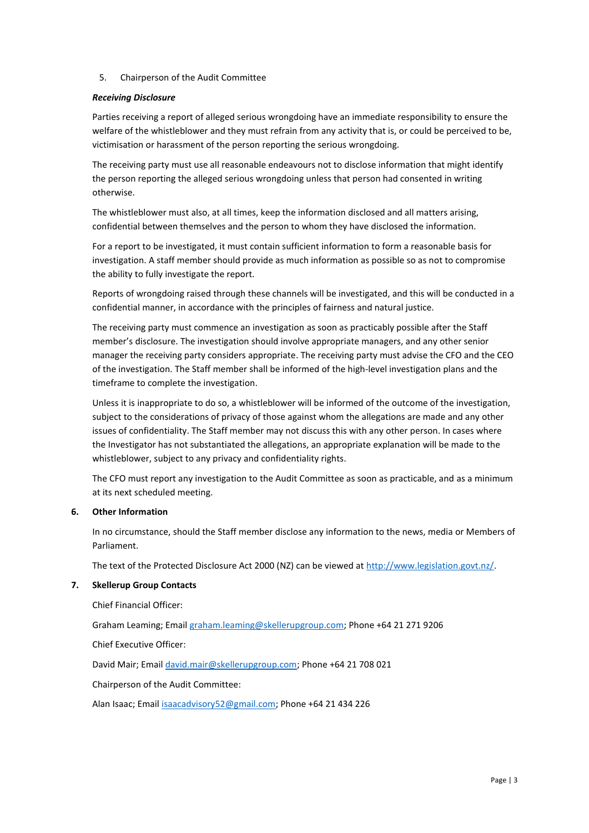# 5. Chairperson of the Audit Committee

# *Receiving Disclosure*

Parties receiving a report of alleged serious wrongdoing have an immediate responsibility to ensure the welfare of the whistleblower and they must refrain from any activity that is, or could be perceived to be, victimisation or harassment of the person reporting the serious wrongdoing.

The receiving party must use all reasonable endeavours not to disclose information that might identify the person reporting the alleged serious wrongdoing unless that person had consented in writing otherwise.

The whistleblower must also, at all times, keep the information disclosed and all matters arising, confidential between themselves and the person to whom they have disclosed the information.

For a report to be investigated, it must contain sufficient information to form a reasonable basis for investigation. A staff member should provide as much information as possible so as not to compromise the ability to fully investigate the report.

Reports of wrongdoing raised through these channels will be investigated, and this will be conducted in a confidential manner, in accordance with the principles of fairness and natural justice.

The receiving party must commence an investigation as soon as practicably possible after the Staff member's disclosure. The investigation should involve appropriate managers, and any other senior manager the receiving party considers appropriate. The receiving party must advise the CFO and the CEO of the investigation. The Staff member shall be informed of the high-level investigation plans and the timeframe to complete the investigation.

Unless it is inappropriate to do so, a whistleblower will be informed of the outcome of the investigation, subject to the considerations of privacy of those against whom the allegations are made and any other issues of confidentiality. The Staff member may not discuss this with any other person. In cases where the Investigator has not substantiated the allegations, an appropriate explanation will be made to the whistleblower, subject to any privacy and confidentiality rights.

The CFO must report any investigation to the Audit Committee as soon as practicable, and as a minimum at its next scheduled meeting.

## **6. Other Information**

In no circumstance, should the Staff member disclose any information to the news, media or Members of Parliament.

The text of the Protected Disclosure Act 2000 (NZ) can be viewed a[t http://www.legislation.govt.nz/.](http://www.legislation.govt.nz/)

## **7. Skellerup Group Contacts**

Chief Financial Officer:

Graham Leaming; Email [graham.leaming@skellerupgroup.com;](mailto:graham.leaming@skellerupgroup.com) Phone +64 21 271 9206

Chief Executive Officer:

David Mair; Email [david.mair@skellerupgroup.com;](mailto:david.mair@skellerupgroup.com) Phone +64 21 708 021

Chairperson of the Audit Committee:

Alan Isaac; Emai[l isaacadvisory52@gmail.com](mailto:isaacadvisory@ihug.co.nz); Phone +64 21 434 226